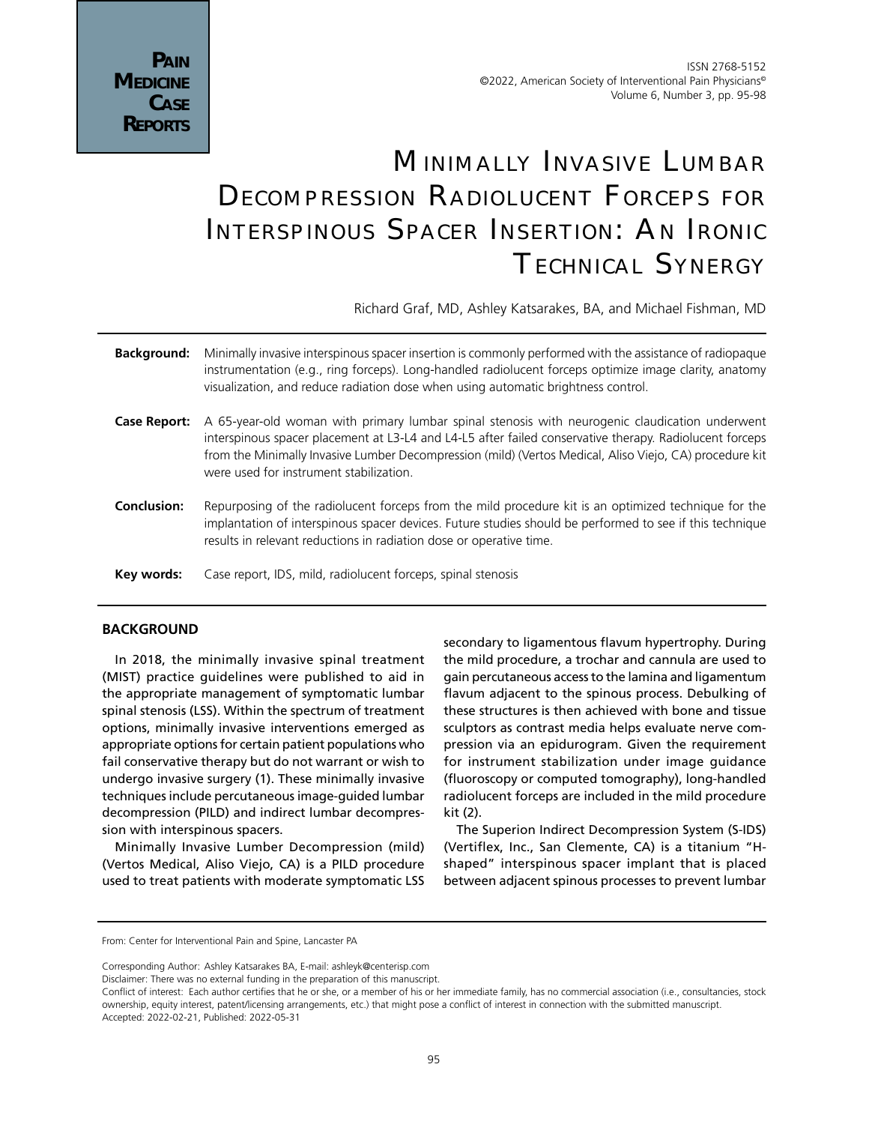# **MINIMALLY INVASIVE LUMBAR** Decompression Radiolucent Forceps for Interspinous Spacer Insertion: An Ironic Technical Synergy

Richard Graf, MD, Ashley Katsarakes, BA, and Michael Fishman, MD

| <b>Background:</b> | Minimally invasive interspinous spacer insertion is commonly performed with the assistance of radiopague<br>instrumentation (e.g., ring forceps). Long-handled radiolucent forceps optimize image clarity, anatomy<br>visualization, and reduce radiation dose when using automatic brightness control.                                                         |
|--------------------|-----------------------------------------------------------------------------------------------------------------------------------------------------------------------------------------------------------------------------------------------------------------------------------------------------------------------------------------------------------------|
| Case Report:       | A 65-year-old woman with primary lumbar spinal stenosis with neurogenic claudication underwent<br>interspinous spacer placement at L3-L4 and L4-L5 after failed conservative therapy. Radiolucent forceps<br>from the Minimally Invasive Lumber Decompression (mild) (Vertos Medical, Aliso Viejo, CA) procedure kit<br>were used for instrument stabilization. |
| <b>Conclusion:</b> | Repurposing of the radiolucent forceps from the mild procedure kit is an optimized technique for the<br>implantation of interspinous spacer devices. Future studies should be performed to see if this technique<br>results in relevant reductions in radiation dose or operative time.                                                                         |
| Key words:         | Case report, IDS, mild, radiolucent forceps, spinal stenosis                                                                                                                                                                                                                                                                                                    |

### **BACKGROUND**

In 2018, the minimally invasive spinal treatment (MIST) practice guidelines were published to aid in the appropriate management of symptomatic lumbar spinal stenosis (LSS). Within the spectrum of treatment options, minimally invasive interventions emerged as appropriate options for certain patient populations who fail conservative therapy but do not warrant or wish to undergo invasive surgery (1). These minimally invasive techniques include percutaneous image-guided lumbar decompression (PILD) and indirect lumbar decompression with interspinous spacers.

Minimally Invasive Lumber Decompression (mild) (Vertos Medical, Aliso Viejo, CA) is a PILD procedure used to treat patients with moderate symptomatic LSS secondary to ligamentous flavum hypertrophy. During the mild procedure, a trochar and cannula are used to gain percutaneous access to the lamina and ligamentum flavum adjacent to the spinous process. Debulking of these structures is then achieved with bone and tissue sculptors as contrast media helps evaluate nerve compression via an epidurogram. Given the requirement for instrument stabilization under image guidance (fluoroscopy or computed tomography), long-handled radiolucent forceps are included in the mild procedure kit (2).

The Superion Indirect Decompression System (S-IDS) (Vertiflex, Inc., San Clemente, CA) is a titanium "Hshaped" interspinous spacer implant that is placed between adjacent spinous processes to prevent lumbar

Disclaimer: There was no external funding in the preparation of this manuscript.

From: Center for Interventional Pain and Spine, Lancaster PA

Corresponding Author: Ashley Katsarakes BA, E-mail: ashleyk@centerisp.com

Conflict of interest: Each author certifies that he or she, or a member of his or her immediate family, has no commercial association (i.e., consultancies, stock ownership, equity interest, patent/licensing arrangements, etc.) that might pose a conflict of interest in connection with the submitted manuscript. Accepted: 2022-02-21, Published: 2022-05-31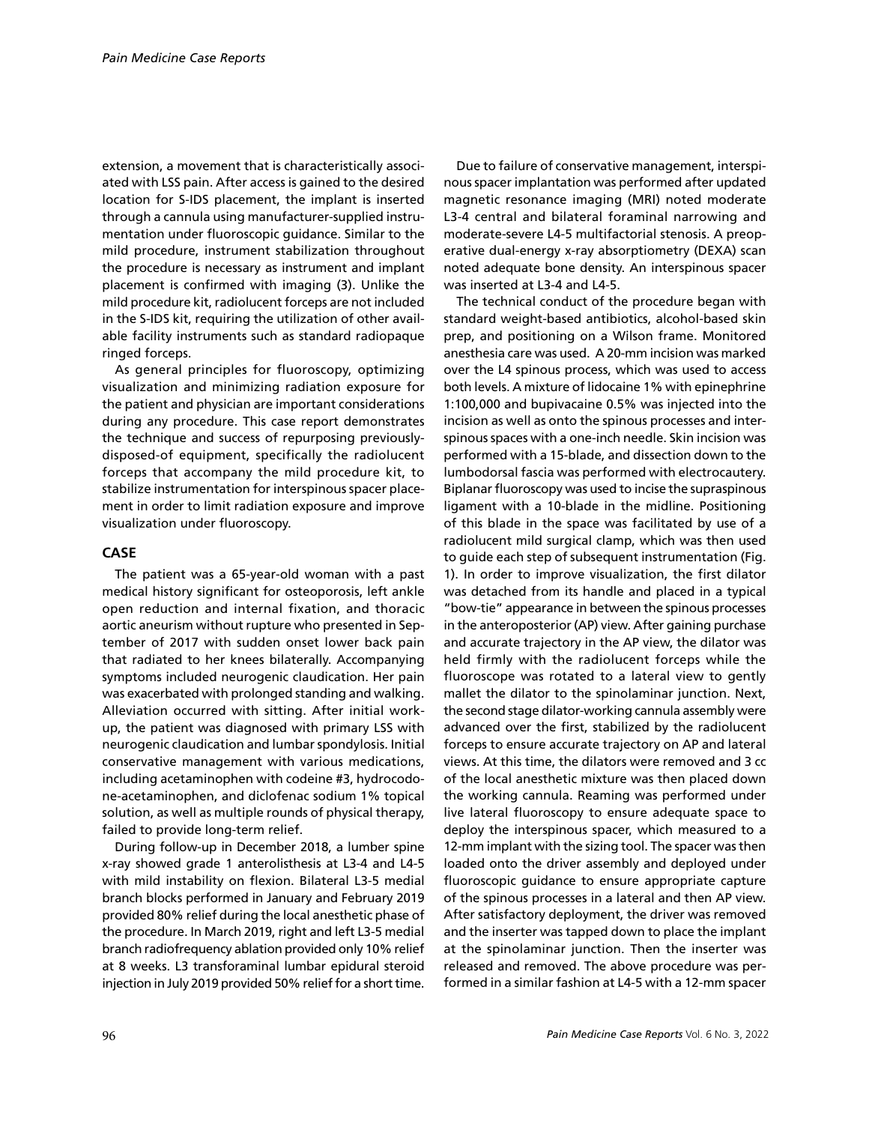extension, a movement that is characteristically associated with LSS pain. After access is gained to the desired location for S-IDS placement, the implant is inserted through a cannula using manufacturer-supplied instrumentation under fluoroscopic guidance. Similar to the mild procedure, instrument stabilization throughout the procedure is necessary as instrument and implant placement is confirmed with imaging (3). Unlike the mild procedure kit, radiolucent forceps are not included in the S-IDS kit, requiring the utilization of other available facility instruments such as standard radiopaque ringed forceps.

As general principles for fluoroscopy, optimizing visualization and minimizing radiation exposure for the patient and physician are important considerations during any procedure. This case report demonstrates the technique and success of repurposing previouslydisposed-of equipment, specifically the radiolucent forceps that accompany the mild procedure kit, to stabilize instrumentation for interspinous spacer placement in order to limit radiation exposure and improve visualization under fluoroscopy.

## **CASE**

The patient was a 65-year-old woman with a past medical history significant for osteoporosis, left ankle open reduction and internal fixation, and thoracic aortic aneurism without rupture who presented in September of 2017 with sudden onset lower back pain that radiated to her knees bilaterally. Accompanying symptoms included neurogenic claudication. Her pain was exacerbated with prolonged standing and walking. Alleviation occurred with sitting. After initial workup, the patient was diagnosed with primary LSS with neurogenic claudication and lumbar spondylosis. Initial conservative management with various medications, including acetaminophen with codeine #3, hydrocodone-acetaminophen, and diclofenac sodium 1% topical solution, as well as multiple rounds of physical therapy, failed to provide long-term relief.

During follow-up in December 2018, a lumber spine x-ray showed grade 1 anterolisthesis at L3-4 and L4-5 with mild instability on flexion. Bilateral L3-5 medial branch blocks performed in January and February 2019 provided 80% relief during the local anesthetic phase of the procedure. In March 2019, right and left L3-5 medial branch radiofrequency ablation provided only 10% relief at 8 weeks. L3 transforaminal lumbar epidural steroid injection in July 2019 provided 50% relief for a short time.

Due to failure of conservative management, interspinous spacer implantation was performed after updated magnetic resonance imaging (MRI) noted moderate L3-4 central and bilateral foraminal narrowing and moderate-severe L4-5 multifactorial stenosis. A preoperative dual-energy x-ray absorptiometry (DEXA) scan noted adequate bone density. An interspinous spacer was inserted at L3-4 and L4-5.

The technical conduct of the procedure began with standard weight-based antibiotics, alcohol-based skin prep, and positioning on a Wilson frame. Monitored anesthesia care was used. A 20-mm incision was marked over the L4 spinous process, which was used to access both levels. A mixture of lidocaine 1% with epinephrine 1:100,000 and bupivacaine 0.5% was injected into the incision as well as onto the spinous processes and interspinous spaces with a one-inch needle. Skin incision was performed with a 15-blade, and dissection down to the lumbodorsal fascia was performed with electrocautery. Biplanar fluoroscopy was used to incise the supraspinous ligament with a 10-blade in the midline. Positioning of this blade in the space was facilitated by use of a radiolucent mild surgical clamp, which was then used to guide each step of subsequent instrumentation (Fig. 1). In order to improve visualization, the first dilator was detached from its handle and placed in a typical "bow-tie" appearance in between the spinous processes in the anteroposterior (AP) view. After gaining purchase and accurate trajectory in the AP view, the dilator was held firmly with the radiolucent forceps while the fluoroscope was rotated to a lateral view to gently mallet the dilator to the spinolaminar junction. Next, the second stage dilator-working cannula assembly were advanced over the first, stabilized by the radiolucent forceps to ensure accurate trajectory on AP and lateral views. At this time, the dilators were removed and 3 cc of the local anesthetic mixture was then placed down the working cannula. Reaming was performed under live lateral fluoroscopy to ensure adequate space to deploy the interspinous spacer, which measured to a 12-mm implant with the sizing tool. The spacer was then loaded onto the driver assembly and deployed under fluoroscopic guidance to ensure appropriate capture of the spinous processes in a lateral and then AP view. After satisfactory deployment, the driver was removed and the inserter was tapped down to place the implant at the spinolaminar junction. Then the inserter was released and removed. The above procedure was performed in a similar fashion at L4-5 with a 12-mm spacer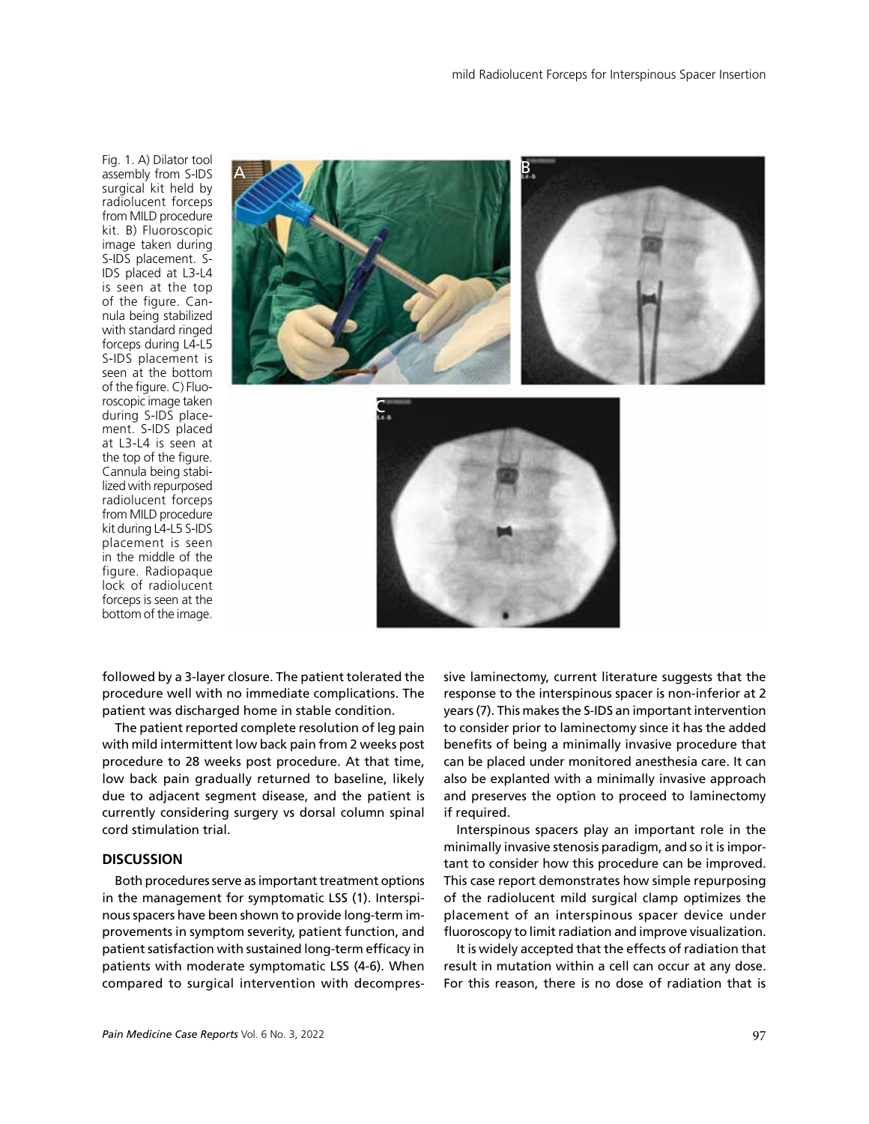Fig. 1. A) Dilator tool assembly from S-IDS surgical kit held by radiolucent forceps from MILD procedure kit. B) Fluoroscopic image taken during S-IDS placement. S-IDS placed at L3-L4 is seen at the top of the figure. Cannula being stabilized with standard ringed forceps during L4-L5 S-IDS placement is seen at the bottom of the figure. C) Fluoroscopic image taken during S-IDS placement. S-IDS placed at L3-L4 is seen at the top of the figure. Cannula being stabilized with repurposed radiolucent forceps from MILD procedure kit during L4-L5 S-IDS placement is seen in the middle of the figure. Radiopaque lock of radiolucent forceps is seen at the bottom of the image.



followed by a 3-layer closure. The patient tolerated the procedure well with no immediate complications. The patient was discharged home in stable condition.

The patient reported complete resolution of leg pain with mild intermittent low back pain from 2 weeks post procedure to 28 weeks post procedure. At that time, low back pain gradually returned to baseline, likely due to adjacent segment disease, and the patient is currently considering surgery vs dorsal column spinal cord stimulation trial.

## **DISCUSSION**

Both procedures serve as important treatment options in the management for symptomatic LSS (1). Interspinous spacers have been shown to provide long-term improvements in symptom severity, patient function, and patient satisfaction with sustained long-term efficacy in patients with moderate symptomatic LSS (4-6). When compared to surgical intervention with decompressive laminectomy, current literature suggests that the response to the interspinous spacer is non-inferior at 2 years (7). This makes the S-IDS an important intervention to consider prior to laminectomy since it has the added benefits of being a minimally invasive procedure that can be placed under monitored anesthesia care. It can also be explanted with a minimally invasive approach and preserves the option to proceed to laminectomy if required.

Interspinous spacers play an important role in the minimally invasive stenosis paradigm, and so it is important to consider how this procedure can be improved. This case report demonstrates how simple repurposing of the radiolucent mild surgical clamp optimizes the placement of an interspinous spacer device under fluoroscopy to limit radiation and improve visualization.

It is widely accepted that the effects of radiation that result in mutation within a cell can occur at any dose. For this reason, there is no dose of radiation that is